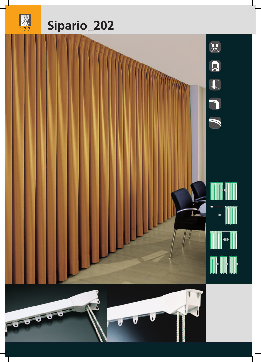

 $\begin{array}{c} \hline \text{ }\\ \text{ }\\ 1.2.2 \end{array}$ 





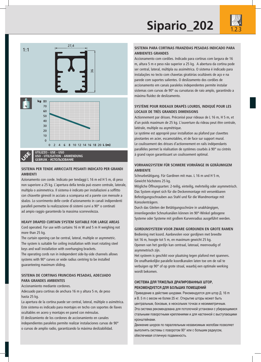



**USO - UTILISATION - ANWENDUNG GEBRUIK - ИСПОЛЬЗОВАНИЕ**

#### **SISTEMA PER TENDE ARRICCIATE PESANTI INDICATO PER GRANDI AMBIENTI**

Azionamento con corde. Indicato per tendaggi L 16 m ed H 5 m, di peso non superiore a 25 kg. L'apertura della tenda può essere centrale, laterale, multipla o asimmetrica. Il sistema è indicato per installazioni a soffitto con chiavette girevoli in acciaio a scomparsa ed a parete con mensole a sbalzo. Lo scorrimento delle corde d'azionamento in canali indipendenti paralleli permette la realizzazione di sistemi curvi a 90° o centinati ad ampio raggio garantendo la massima scorrevolezza.

#### **HEAVY DRAPED CURTAIN SYSTEM SUITABLE FOR LARGE AREAS**

Cord operated. For use with curtains 16 m W and 5 m H weighing not more than 25 kg.

The curtain opening can be central, lateral, multiple or asymmetric. The system is suitable for ceiling installation with inset rotating steel keys and wall installation with overhanging brackets.

The operating cords run in independent side-by-side channels allows systems with 90° curves or wide radius centring to be installed guaranteeing maximum sliding.

#### **SISTEMA DE CORTINAS FRUNCIDAS PESADAS, ADECUADO PARA GRANDES AMBIENTES**

Accionamiento mediante cordones.

Adecuado para cortinas de anchura 16 m y altura 5 m, de peso hasta 25 kg.

La apertura de la cortina puede ser central, lateral, múltiple o asimétrica. Este sistema es indicado para montajes en techo con soportes de llaves ocultables en acero y montajes en pared con ménsulas.

El deslizamiento de los cordones de accionamiento en canales independientes paralelos permite realizar instalaciones curvas de 90° o curvas de amplio radio, garantizando la máxima deslizabilidad.

#### **SISTEMA PARA CORTINAS FRANZIDAS PESADAS INDICADO PARA AMBIENTES GRANDES**

Accionamento com cordões. Indicado para cortinas com largura de 16 m, altura 5 m e peso não superior a 25 kg. A abertura da cortina pode ser central, lateral, múltipla ou assimétrica. O sistema é indicado para instalações no tecto com chavetas giratórias ocultáveis de aço e na parede com suportes salientes. O deslizamento dos cordões de accionamento em canais paralelos independentes permite instalar sistemas com curvas de 90° ou curvaturas de raio amplo, garantindo a máxima fluidez de deslizamento.

### **SYSTÈME POUR RIDEAUX DRAPÉS LOURDS, INDIQUÉ POUR LES LOCAUX DE TRÈS GRANDES DIMENSIONS**

Actionnement par drisses. Préconisé pour rideaux de L 16 m, H 5 m, et d'un poids maximum de 25 kg. L'ouverture du rideau peut être centrale, latérale, multiple ou asymétrique.

Le système est approprié pour installation au plafond par clavettes pivotantes en acier, escamotables, et de face sur support mural. Le coulissement des drisses d'actionnement en rails indépendants parallèles permet la réalisation de systèmes courbés à 90° ou cintrés à grand rayon garantissant un coulissement optimal.

#### **VORHANGSYSTEM FÜR SCHWERE VORHÄNGE IN GERÄUMIGEM AMBIENTE**

Schnurbetätigung. Für Gardinen mit max. L 16 m und H 5 m, Gewicht höchstens 25 kg.

Mögliche Öffnungsarten: 2-teilig, einteilig, mehrteilig oder asymmetrisch. Das System eignet sich für die Deckenmontage mit versenkbaren Befestigungsschrauben aus Stahl und für die Wandmontage mit Konsolenträgern.

Durch das Gleiten der Betätigungsschnüre in unabhängigen, innenliegenden Schnurkanälen können im 90°-Winkel gebogene Systeme oder Systeme mit großem Kurvenradius ausgeführt werden.

#### **GORDIJNSYSTEEM VOOR ZWARE GORDIJNEN EN GROTE RAMEN**

Bediening met koord. Aanbevolen voor gordijnen met breedte tot 16 m, hoogte tot 5 m, en maximum gewicht 25 kg. Openen van het gordijn kan centraal, lateraal, meervoudig of asymmetrisch zijn.

Het systeem is geschikt voor plaatsing tegen plafond met spanners. De onafhankelijke paralelle koordkanalen laten toe om de rail te verbuigen op 90° of op grote straal, waarbij een optimale werking wordt bekomen.

#### **СИСТЕМА ДЛЯ ТЯЖЕЛЫХ ДРАПИРОВАННЫХ ШТОР, РЕКОМЕНДУЕТСЯ ДЛЯ БОЛЬШИХ ПОМЕЩЕНИЙ**

Приведение в действие шнурами. Рекомендуется для штор Д. 16 m и В. 5 m с весом не более 25 кг. Открытие шторы может быть центральным, боковым, в нескольких точках и несимметричным. Эта система рекомендована для потолочной установки с убирающимися стальными поворотными креплениями и для настенной с выступающими кронштейнами.

Движение шнуров по параллельным независимым желобам позволяет выполнять системы с поворотом 90° или с большим радиусом, обеспечивая отличную подвижность.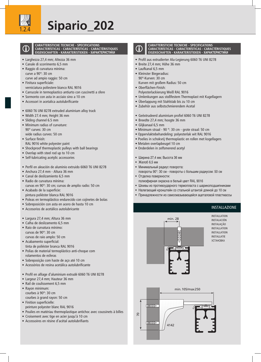

# 1.2.4 **Sipario\_202**



**CARATTERISTICHE TECNICHE - SPECIFICATIONS CARACTERÍSTICAS - CARACTERÍSTICAS - CARACTÉRISTIQUES EIGENSCHAFTEN - KARAKTERISTIEKEN - ХАРАКТЕРИСТИКИ**

- Larghezza 27,4 mm; Altezza 36 mm
- Canale di scorrimento 6,5 mm • Raggio di curvatura minima: curve a 90°: 30 cm
	- curve ad ampio raggio: 50 cm
- Finitura superficiale: verniciatura poliestere bianco RAL 9016
- Carrucole in termoplastico antiurto con cuscinetti a sfere
- Sormonto con asta in acciaio sino a 10 cm
- Accessori in acetalica autolubrificante
- 6060 T6 UNI 8278 extruded aluminium alloy track
- Width 27.4 mm; Height 36 mm
- Sliding channel 6.5 mm
- Minimum radius of curvature: 90° curves: 30 cm wide radius curves: 50 cm
- Surface finish:
- RAL 9016 white polyester paint
- Shockproof thermoplastic pulleys with ball bearings
- Overlap with steel rod up to 10 cm
- Self-lubricating acetylic accessories
- Perfil en aleación de aluminio extruido 6060 T6 UNI 8278
- Anchura 27,4 mm Altura 36 mm
- Canal de deslizamiento 6,5 mm
- Radio de curvatura mínima: curvas en 90°: 30 cm; curvas de amplio radio: 50 cm
- Acabado de la superficie: pintura poliéster blanca RAL 9016
- Poleas en termoplástico endurecido con cojinetes de bolas
- Sobreposición con asta en acero de hasta 10 cm
- Accesorios de acetálico autolubricante
- 
- Largura 27,4 mm; Altura 36 mm • Calha de deslizamento 6,5 mm
- Raio de curvatura mínimo: curvas de 90°: 30 cm curvas de raio amplo: 50 cm
- Acabamento superficial:
- tinta de poliéster branca RAL 9016 • Polias de material termoplástico anti-choque com
- rolamentos de esferas
- Sobreposição com haste de aço até 10 cm
- Acessórios de resina acetálica autolubrificante
- Profil en alliage d'aluminium extrudé 6060 T6 UNI 8278
- Largeur 27,4 mm; Hauteur 36 mm
- Rail de coulissement 6,5 mm
- Rayon minimum: courbes à 90°: 30 cm courbes à grand rayon: 50 cm
- Finition superficielle: peinture polyester blanc RAL 9016
- Poulies en matériau thermoplastique antichoc avec coussinets à billes
- Croisement avec tige en acier jusqu'à 10 cm
- Accessoires en résine d'acétal autolubrifiants



#### **CARATTERISTICHE TECNICHE - SPECIFICATIONS CARACTERÍSTICAS - CARACTERÍSTICAS - CARACTÉRISTIQUES EIGENSCHAFTEN - KARAKTERISTIEKEN - ХАРАКТЕРИСТИКИ**

- Profil aus extrudierter Alu-Legierung 6060 T6 UNI 8278
- Breite 27,4 mm; Höhe 36 mm
- Laufkanal 6,5 mm
- Kleinster Biegeradius: 90°-Kurven: 30 cm Kurven mit großem Radius: 50 cm
- Oberflächen-Finish:
	- Polyesterlackierung Weiß RAL 9016
- Umlenkungen aus stoßfestem Thermoplast mit Kugellagern
- Überlappung mit Stahlstab bis zu 10 cm
- Zubehör aus selbstschmierendem Acetal
- Geëxtrudeerd aluminium profiel 6060 T6 UNI 8278
- Breedte 27,4 mm; hoogte 36 mm
- Glijkanaal 6,5 mm
- Minimum straal 90 °: 30 cm grote straal: 50 cm
- Oppervlaktebehandeling: polyesterlak wit RAL 9016
- Poelies in schokvrij thermoplastic en rollen met kogellagers
- Metalen overlapbeugel 10 cm
- Onderdelen in zelfsmerend acetyl
- Ширина 27,4 мм; Высота 36 мм
- Желоб 6,5 мм
- Минимальный радиус поворота: повороты 90°: 30 см - повороты с большим радиусом: 50 см
- Отделка поверхности: полиэфирная окраска в белый цвет RAL 9016
- Шкивы из противоударного термопласта с шарикоподшипниками
- Налегающий кронштейн со стальной штангой длиной до 10 см
- Принадлежности из самосмазывающейся ацеталовой пластмассы

#### INSTALLAZIONE



INSTALLATION INSTALACIÓN **INSTALAÇÃO** INSTALLATION INSTALLATION INSTALLATIE УСТАНОВКА